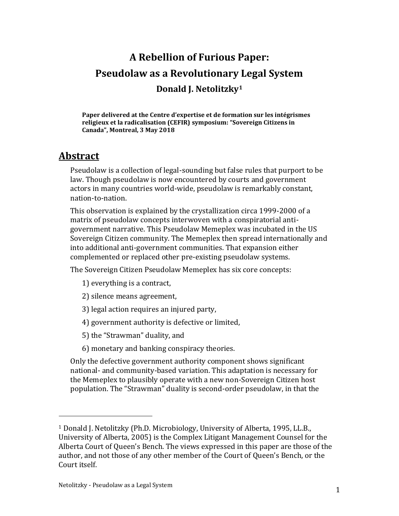# **A Rebellion of Furious Paper: Pseudolaw as a Revolutionary Legal System Donald J. Netolitzky<sup>1</sup>**

**Paper delivered at the Centre d'expertise et de formation sur les intégrismes religieux et la radicalisation (CEFIR) symposium: "Sovereign Citizens in Canada", Montreal, 3 May 2018**

#### **Abstract**

Pseudolaw is a collection of legal-sounding but false rules that purport to be law. Though pseudolaw is now encountered by courts and government actors in many countries world-wide, pseudolaw is remarkably constant, nation-to-nation.

This observation is explained by the crystallization circa 1999-2000 of a matrix of pseudolaw concepts interwoven with a conspiratorial antigovernment narrative. This Pseudolaw Memeplex was incubated in the US Sovereign Citizen community. The Memeplex then spread internationally and into additional anti-government communities. That expansion either complemented or replaced other pre-existing pseudolaw systems.

The Sovereign Citizen Pseudolaw Memeplex has six core concepts:

- 1) everything is a contract,
- 2) silence means agreement,
- 3) legal action requires an injured party,
- 4) government authority is defective or limited,
- 5) the "Strawman" duality, and
- 6) monetary and banking conspiracy theories.

Only the defective government authority component shows significant national- and community-based variation. This adaptation is necessary for the Memeplex to plausibly operate with a new non-Sovereign Citizen host population. The "Strawman" duality is second-order pseudolaw, in that the

l

<sup>1</sup> Donald J. Netolitzky (Ph.D. Microbiology, University of Alberta, 1995, LL.B., University of Alberta, 2005) is the Complex Litigant Management Counsel for the Alberta Court of Queen's Bench. The views expressed in this paper are those of the author, and not those of any other member of the Court of Queen's Bench, or the Court itself.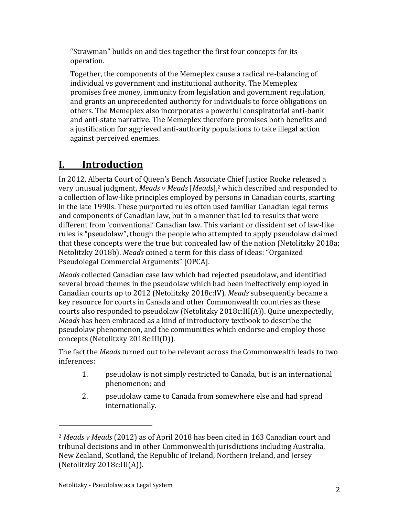"Strawman" builds on and ties together the first four concepts for its operation.

Together, the components of the Memeplex cause a radical re-balancing of individual vs government and institutional authority. The Memeplex promises free money, immunity from legislation and government regulation, and grants an unprecedented authority for individuals to force obligations on others. The Memeplex also incorporates a powerful conspiratorial anti-bank and anti-state narrative. The Memeplex therefore promises both benefits and a justification for aggrieved anti-authority populations to take illegal action against perceived enemies.

# **I. Introduction**

In 2012, Alberta Court of Queen's Bench Associate Chief Justice Rooke released a very unusual judgment, *Meads v Meads* [*Meads*], *<sup>2</sup>* which described and responded to a collection of law-like principles employed by persons in Canadian courts, starting in the late 1990s. These purported rules often used familiar Canadian legal terms and components of Canadian law, but in a manner that led to results that were different from 'conventional' Canadian law. This variant or dissident set of law-like rules is "pseudolaw", though the people who attempted to apply pseudolaw claimed that these concepts were the true but concealed law of the nation (Netolitzky 2018a; Netolitzky 2018b). *Meads* coined a term for this class of ideas: "Organized Pseudolegal Commercial Arguments" [OPCA].

*Meads* collected Canadian case law which had rejected pseudolaw, and identified several broad themes in the pseudolaw which had been ineffectively employed in Canadian courts up to 2012 (Netolitzky 2018c:IV). *Meads* subsequently became a key resource for courts in Canada and other Commonwealth countries as these courts also responded to pseudolaw (Netolitzky 2018c:III(A)). Quite unexpectedly, *Meads* has been embraced as a kind of introductory textbook to describe the pseudolaw phenomenon, and the communities which endorse and employ those concepts (Netolitzky 2018c:III(D)).

The fact the *Meads* turned out to be relevant across the Commonwealth leads to two inferences:

- 1. pseudolaw is not simply restricted to Canada, but is an international phenomenon; and
- 2. pseudolaw came to Canada from somewhere else and had spread internationally.

l

<sup>2</sup> *Meads v Meads* (2012) as of April 2018 has been cited in 163 Canadian court and tribunal decisions and in other Commonwealth jurisdictions including Australia, New Zealand, Scotland, the Republic of Ireland, Northern Ireland, and Jersey (Netolitzky 2018c:III(A)).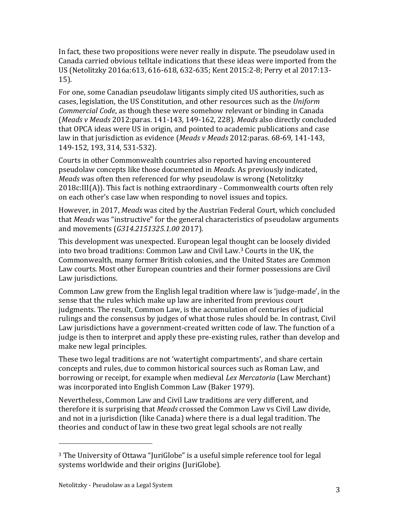In fact, these two propositions were never really in dispute. The pseudolaw used in Canada carried obvious telltale indications that these ideas were imported from the US (Netolitzky 2016a:613, 616-618, 632-635; Kent 2015:2-8; Perry et al 2017:13- 15).

For one, some Canadian pseudolaw litigants simply cited US authorities, such as cases, legislation, the US Constitution, and other resources such as the *Uniform Commercial Code*, as though these were somehow relevant or binding in Canada (*Meads v Meads* 2012:paras. 141-143, 149-162, 228). *Meads* also directly concluded that OPCA ideas were US in origin, and pointed to academic publications and case law in that jurisdiction as evidence (*Meads v Meads* 2012:paras. 68-69, 141-143, 149-152, 193, 314, 531-532).

Courts in other Commonwealth countries also reported having encountered pseudolaw concepts like those documented in *Meads*. As previously indicated, *Meads* was often then referenced for why pseudolaw is wrong (Netolitzky 2018c:III(A)). This fact is nothing extraordinary - Commonwealth courts often rely on each other's case law when responding to novel issues and topics.

However, in 2017, *Meads* was cited by the Austrian Federal Court, which concluded that *Meads* was "instructive" for the general characteristics of pseudolaw arguments and movements (*G314.2151325.1.00* 2017).

This development was unexpected. European legal thought can be loosely divided into two broad traditions: Common Law and Civil Law.<sup>3</sup> Courts in the UK, the Commonwealth, many former British colonies, and the United States are Common Law courts. Most other European countries and their former possessions are Civil Law jurisdictions.

Common Law grew from the English legal tradition where law is 'judge-made', in the sense that the rules which make up law are inherited from previous court judgments. The result, Common Law, is the accumulation of centuries of judicial rulings and the consensus by judges of what those rules should be. In contrast, Civil Law jurisdictions have a government-created written code of law. The function of a judge is then to interpret and apply these pre-existing rules, rather than develop and make new legal principles.

These two legal traditions are not 'watertight compartments', and share certain concepts and rules, due to common historical sources such as Roman Law, and borrowing or receipt, for example when medieval *Lex Mercatoria* (Law Merchant) was incorporated into English Common Law (Baker 1979).

Nevertheless, Common Law and Civil Law traditions are very different, and therefore it is surprising that *Meads* crossed the Common Law vs Civil Law divide, and not in a jurisdiction (like Canada) where there is a dual legal tradition. The theories and conduct of law in these two great legal schools are not really

<sup>&</sup>lt;sup>3</sup> The University of Ottawa "JuriGlobe" is a useful simple reference tool for legal systems worldwide and their origins (JuriGlobe).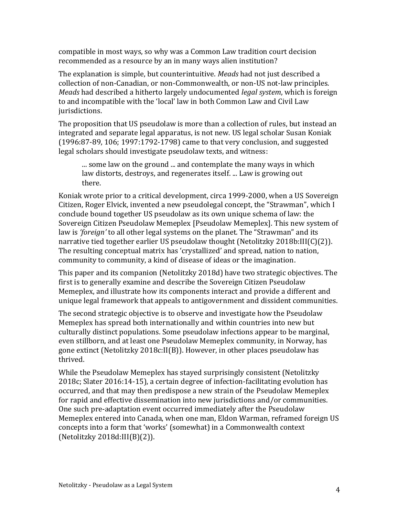compatible in most ways, so why was a Common Law tradition court decision recommended as a resource by an in many ways alien institution?

The explanation is simple, but counterintuitive. *Meads* had not just described a collection of non-Canadian, or non-Commonwealth, or non-US not-law principles. *Meads* had described a hitherto largely undocumented *legal system*, which is foreign to and incompatible with the 'local' law in both Common Law and Civil Law jurisdictions.

The proposition that US pseudolaw is more than a collection of rules, but instead an integrated and separate legal apparatus, is not new. US legal scholar Susan Koniak (1996:87-89, 106; 1997:1792-1798) came to that very conclusion, and suggested legal scholars should investigate pseudolaw texts, and witness:

... some law on the ground ... and contemplate the many ways in which law distorts, destroys, and regenerates itself. ... Law is growing out there.

Koniak wrote prior to a critical development, circa 1999-2000, when a US Sovereign Citizen, Roger Elvick, invented a new pseudolegal concept, the "Strawman", which I conclude bound together US pseudolaw as its own unique schema of law: the Sovereign Citizen Pseudolaw Memeplex [Pseudolaw Memeplex]. This new system of law is *'foreign'* to all other legal systems on the planet. The "Strawman" and its narrative tied together earlier US pseudolaw thought (Netolitzky 2018b:III(C)(2)). The resulting conceptual matrix has 'crystallized' and spread, nation to nation, community to community, a kind of disease of ideas or the imagination.

This paper and its companion (Netolitzky 2018d) have two strategic objectives. The first is to generally examine and describe the Sovereign Citizen Pseudolaw Memeplex, and illustrate how its components interact and provide a different and unique legal framework that appeals to antigovernment and dissident communities.

The second strategic objective is to observe and investigate how the Pseudolaw Memeplex has spread both internationally and within countries into new but culturally distinct populations. Some pseudolaw infections appear to be marginal, even stillborn, and at least one Pseudolaw Memeplex community, in Norway, has gone extinct (Netolitzky 2018c:II(B)). However, in other places pseudolaw has thrived.

While the Pseudolaw Memeplex has stayed surprisingly consistent (Netolitzky 2018c; Slater 2016:14-15), a certain degree of infection-facilitating evolution has occurred, and that may then predispose a new strain of the Pseudolaw Memeplex for rapid and effective dissemination into new jurisdictions and/or communities. One such pre-adaptation event occurred immediately after the Pseudolaw Memeplex entered into Canada, when one man, Eldon Warman, reframed foreign US concepts into a form that 'works' (somewhat) in a Commonwealth context (Netolitzky 2018d:III(B)(2)).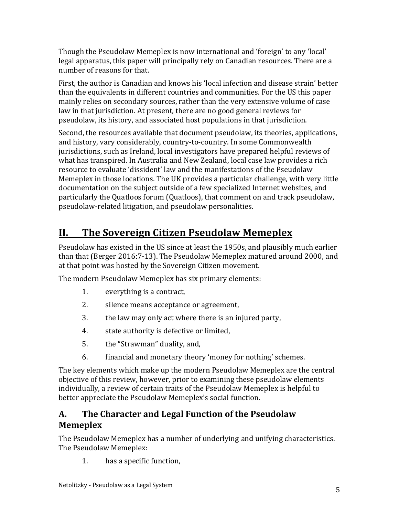Though the Pseudolaw Memeplex is now international and 'foreign' to any 'local' legal apparatus, this paper will principally rely on Canadian resources. There are a number of reasons for that.

First, the author is Canadian and knows his 'local infection and disease strain' better than the equivalents in different countries and communities. For the US this paper mainly relies on secondary sources, rather than the very extensive volume of case law in that jurisdiction. At present, there are no good general reviews for pseudolaw, its history, and associated host populations in that jurisdiction.

Second, the resources available that document pseudolaw, its theories, applications, and history, vary considerably, country-to-country. In some Commonwealth jurisdictions, such as Ireland, local investigators have prepared helpful reviews of what has transpired. In Australia and New Zealand, local case law provides a rich resource to evaluate 'dissident' law and the manifestations of the Pseudolaw Memeplex in those locations. The UK provides a particular challenge, with very little documentation on the subject outside of a few specialized Internet websites, and particularly the Quatloos forum (Quatloos), that comment on and track pseudolaw, pseudolaw-related litigation, and pseudolaw personalities.

# **II. The Sovereign Citizen Pseudolaw Memeplex**

Pseudolaw has existed in the US since at least the 1950s, and plausibly much earlier than that (Berger 2016:7-13). The Pseudolaw Memeplex matured around 2000, and at that point was hosted by the Sovereign Citizen movement.

The modern Pseudolaw Memeplex has six primary elements:

- 1. everything is a contract,
- 2. silence means acceptance or agreement,
- 3. the law may only act where there is an injured party,
- 4. state authority is defective or limited,
- 5. the "Strawman" duality, and,
- 6. financial and monetary theory 'money for nothing' schemes.

The key elements which make up the modern Pseudolaw Memeplex are the central objective of this review, however, prior to examining these pseudolaw elements individually, a review of certain traits of the Pseudolaw Memeplex is helpful to better appreciate the Pseudolaw Memeplex's social function.

#### **A. The Character and Legal Function of the Pseudolaw Memeplex**

The Pseudolaw Memeplex has a number of underlying and unifying characteristics. The Pseudolaw Memeplex:

1. has a specific function,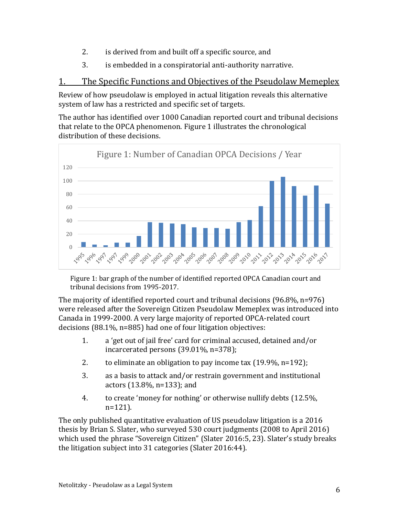- 2. is derived from and built off a specific source, and
- 3. is embedded in a conspiratorial anti-authority narrative.

#### 1. The Specific Functions and Objectives of the Pseudolaw Memeplex

Review of how pseudolaw is employed in actual litigation reveals this alternative system of law has a restricted and specific set of targets.

The author has identified over 1000 Canadian reported court and tribunal decisions that relate to the OPCA phenomenon. Figure 1 illustrates the chronological distribution of these decisions.



Figure 1: bar graph of the number of identified reported OPCA Canadian court and tribunal decisions from 1995-2017.

The majority of identified reported court and tribunal decisions (96.8%, n=976) were released after the Sovereign Citizen Pseudolaw Memeplex was introduced into Canada in 1999-2000. A very large majority of reported OPCA-related court decisions (88.1%, n=885) had one of four litigation objectives:

- 1. a 'get out of jail free' card for criminal accused, detained and/or incarcerated persons (39.01%, n=378);
- 2. to eliminate an obligation to pay income tax (19.9%, n=192);
- 3. as a basis to attack and/or restrain government and institutional actors (13.8%, n=133); and
- 4. to create 'money for nothing' or otherwise nullify debts (12.5%, n=121).

The only published quantitative evaluation of US pseudolaw litigation is a 2016 thesis by Brian S. Slater, who surveyed 530 court judgments (2008 to April 2016) which used the phrase "Sovereign Citizen" (Slater 2016:5, 23). Slater's study breaks the litigation subject into 31 categories (Slater 2016:44).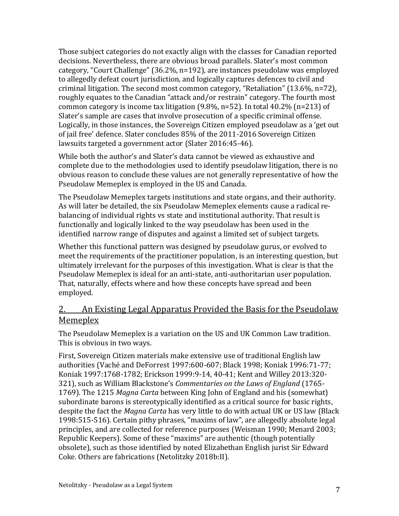Those subject categories do not exactly align with the classes for Canadian reported decisions. Nevertheless, there are obvious broad parallels. Slater's most common category, "Court Challenge" (36.2%, n=192), are instances pseudolaw was employed to allegedly defeat court jurisdiction, and logically captures defences to civil and criminal litigation. The second most common category, "Retaliation" (13.6%, n=72), roughly equates to the Canadian "attack and/or restrain" category. The fourth most common category is income tax litigation (9.8%, n=52). In total 40.2% (n=213) of Slater's sample are cases that involve prosecution of a specific criminal offense. Logically, in those instances, the Sovereign Citizen employed pseudolaw as a 'get out of jail free' defence. Slater concludes 85% of the 2011-2016 Sovereign Citizen lawsuits targeted a government actor (Slater 2016:45-46).

While both the author's and Slater's data cannot be viewed as exhaustive and complete due to the methodologies used to identify pseudolaw litigation, there is no obvious reason to conclude these values are not generally representative of how the Pseudolaw Memeplex is employed in the US and Canada.

The Pseudolaw Memeplex targets institutions and state organs, and their authority. As will later be detailed, the six Pseudolaw Memeplex elements cause a radical rebalancing of individual rights vs state and institutional authority. That result is functionally and logically linked to the way pseudolaw has been used in the identified narrow range of disputes and against a limited set of subject targets.

Whether this functional pattern was designed by pseudolaw gurus, or evolved to meet the requirements of the practitioner population, is an interesting question, but ultimately irrelevant for the purposes of this investigation. What is clear is that the Pseudolaw Memeplex is ideal for an anti-state, anti-authoritarian user population. That, naturally, effects where and how these concepts have spread and been employed.

#### 2. An Existing Legal Apparatus Provided the Basis for the Pseudolaw Memeplex

The Pseudolaw Memeplex is a variation on the US and UK Common Law tradition. This is obvious in two ways.

First, Sovereign Citizen materials make extensive use of traditional English law authorities (Vaché and DeForrest 1997:600-607; Black 1998; Koniak 1996:71-77; Koniak 1997:1768-1782; Erickson 1999:9-14, 40-41; Kent and Willey 2013:320- 321), such as William Blackstone's *Commentaries on the Laws of England* (1765- 1769). The 1215 *Magna Carta* between King John of England and his (somewhat) subordinate barons is stereotypically identified as a critical source for basic rights, despite the fact the *Magna Carta* has very little to do with actual UK or US law (Black 1998:515-516). Certain pithy phrases, "maxims of law", are allegedly absolute legal principles, and are collected for reference purposes (Weisman 1990; Menard 2003; Republic Keepers). Some of these "maxims" are authentic (though potentially obsolete), such as those identified by noted Elizabethan English jurist Sir Edward Coke. Others are fabrications (Netolitzky 2018b:II).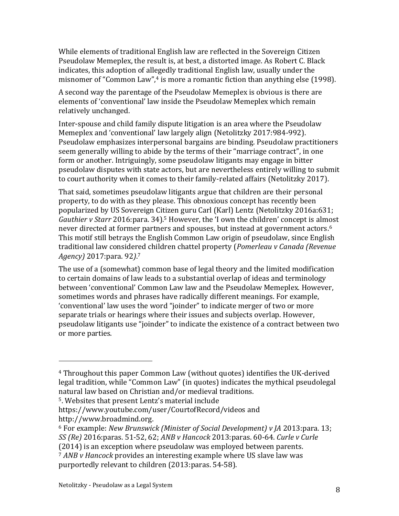While elements of traditional English law are reflected in the Sovereign Citizen Pseudolaw Memeplex, the result is, at best, a distorted image. As Robert C. Black indicates, this adoption of allegedly traditional English law, usually under the misnomer of "Common Law",<sup>4</sup> is more a romantic fiction than anything else (1998).

A second way the parentage of the Pseudolaw Memeplex is obvious is there are elements of 'conventional' law inside the Pseudolaw Memeplex which remain relatively unchanged.

Inter-spouse and child family dispute litigation is an area where the Pseudolaw Memeplex and 'conventional' law largely align (Netolitzky 2017:984-992). Pseudolaw emphasizes interpersonal bargains are binding. Pseudolaw practitioners seem generally willing to abide by the terms of their "marriage contract", in one form or another. Intriguingly, some pseudolaw litigants may engage in bitter pseudolaw disputes with state actors, but are nevertheless entirely willing to submit to court authority when it comes to their family-related affairs (Netolitzky 2017).

That said, sometimes pseudolaw litigants argue that children are their personal property, to do with as they please. This obnoxious concept has recently been popularized by US Sovereign Citizen guru Carl (Karl) Lentz (Netolitzky 2016a:631; *Gauthier v Starr* 2016:para. 34). <sup>5</sup> However, the 'I own the children' concept is almost never directed at former partners and spouses, but instead at government actors. 6 This motif still betrays the English Common Law origin of pseudolaw, since English traditional law considered children chattel property (*Pomerleau v Canada (Revenue Agency)* 2017:para. 92*)*. 7

The use of a (somewhat) common base of legal theory and the limited modification to certain domains of law leads to a substantial overlap of ideas and terminology between 'conventional' Common Law law and the Pseudolaw Memeplex. However, sometimes words and phrases have radically different meanings. For example, 'conventional' law uses the word "joinder" to indicate merger of two or more separate trials or hearings where their issues and subjects overlap. However, pseudolaw litigants use "joinder" to indicate the existence of a contract between two or more parties.

<sup>4</sup> Throughout this paper Common Law (without quotes) identifies the UK-derived legal tradition, while "Common Law" (in quotes) indicates the mythical pseudolegal natural law based on Christian and/or medieval traditions.

<sup>5</sup>. Websites that present Lentz's material include

https://www.youtube.com/user/CourtofRecord/videos and http://www.broadmind.org.

<sup>6</sup> For example: *New Brunswick (Minister of Social Development) v JA* 2013:para. 13; *SS (Re)* 2016:paras. 51-52, 62; *ANB v Hancock* 2013:paras. 60-64. *Curle v Curle*

<sup>(2014)</sup> is an exception where pseudolaw was employed between parents.

<sup>7</sup> *ANB v Hancock* provides an interesting example where US slave law was purportedly relevant to children (2013:paras. 54-58).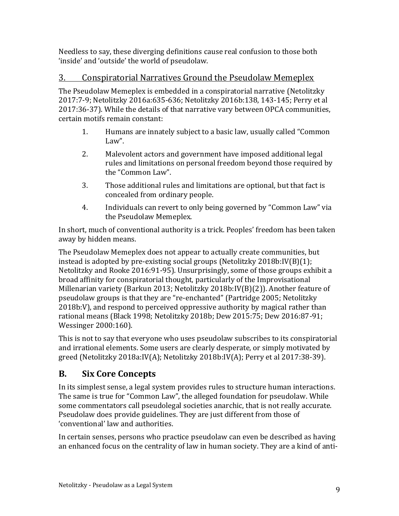Needless to say, these diverging definitions cause real confusion to those both 'inside' and 'outside' the world of pseudolaw.

#### 3. Conspiratorial Narratives Ground the Pseudolaw Memeplex

The Pseudolaw Memeplex is embedded in a conspiratorial narrative (Netolitzky 2017:7-9; Netolitzky 2016a:635-636; Netolitzky 2016b:138, 143-145; Perry et al 2017:36-37). While the details of that narrative vary between OPCA communities, certain motifs remain constant:

- 1. Humans are innately subject to a basic law, usually called "Common Law".
- 2. Malevolent actors and government have imposed additional legal rules and limitations on personal freedom beyond those required by the "Common Law".
- 3. Those additional rules and limitations are optional, but that fact is concealed from ordinary people.
- 4. Individuals can revert to only being governed by "Common Law" via the Pseudolaw Memeplex.

In short, much of conventional authority is a trick. Peoples' freedom has been taken away by hidden means.

The Pseudolaw Memeplex does not appear to actually create communities, but instead is adopted by pre-existing social groups (Netolitzky 2018b:IV(B)(1); Netolitzky and Rooke 2016:91-95). Unsurprisingly, some of those groups exhibit a broad affinity for conspiratorial thought, particularly of the Improvisational Millenarian variety (Barkun 2013; Netolitzky 2018b:IV(B)(2)). Another feature of pseudolaw groups is that they are "re-enchanted" (Partridge 2005; Netolitzky 2018b:V), and respond to perceived oppressive authority by magical rather than rational means (Black 1998; Netolitzky 2018b; Dew 2015:75; Dew 2016:87-91; Wessinger 2000:160).

This is not to say that everyone who uses pseudolaw subscribes to its conspiratorial and irrational elements. Some users are clearly desperate, or simply motivated by greed (Netolitzky 2018a:IV(A); Netolitzky 2018b:IV(A); Perry et al 2017:38-39).

#### **B. Six Core Concepts**

In its simplest sense, a legal system provides rules to structure human interactions. The same is true for "Common Law", the alleged foundation for pseudolaw. While some commentators call pseudolegal societies anarchic, that is not really accurate. Pseudolaw does provide guidelines. They are just different from those of 'conventional' law and authorities.

In certain senses, persons who practice pseudolaw can even be described as having an enhanced focus on the centrality of law in human society. They are a kind of anti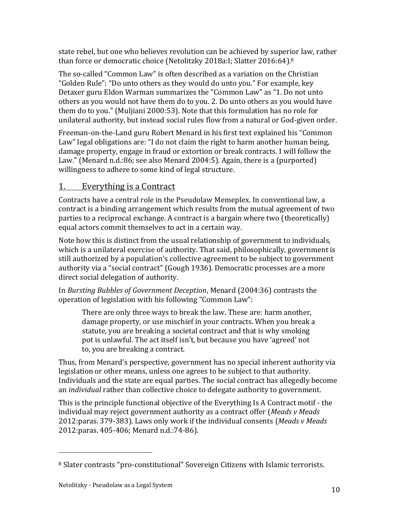state rebel, but one who believes revolution can be achieved by superior law, rather than force or democratic choice (Netolitzky 2018a:I; Slatter 2016:64). 8

The so-called "Common Law" is often described as a variation on the Christian "Golden Rule": "Do unto others as they would do unto you." For example, key Detaxer guru Eldon Warman summarizes the "Common Law" as "1. Do not unto others as you would not have them do to you. 2. Do unto others as you would have them do to you." (Muljiani 2000:53). Note that this formulation has no role for unilateral authority, but instead social rules flow from a natural or God-given order.

Freeman-on-the-Land guru Robert Menard in his first text explained his "Common Law" legal obligations are: "I do not claim the right to harm another human being, damage property, engage in fraud or extortion or break contracts. I will follow the Law." (Menard n.d.:86; see also Menard 2004:5). Again, there is a (purported) willingness to adhere to some kind of legal structure.

#### 1. Everything is a Contract

Contracts have a central role in the Pseudolaw Memeplex. In conventional law, a contract is a binding arrangement which results from the mutual agreement of two parties to a reciprocal exchange. A contract is a bargain where two (theoretically) equal actors commit themselves to act in a certain way.

Note how this is distinct from the usual relationship of government to individuals, which is a unilateral exercise of authority. That said, philosophically, government is still authorized by a population's collective agreement to be subject to government authority via a "social contract" (Gough 1936). Democratic processes are a more direct social delegation of authority.

In *Bursting Bubbles of Government Deception*, Menard (2004:36) contrasts the operation of legislation with his following "Common Law":

There are only three ways to break the law. These are: harm another, damage property, or use mischief in your contracts. When you break a statute, you are breaking a societal contract and that is why smoking pot is unlawful. The act itself isn't, but because you have 'agreed' not to, you are breaking a contract.

Thus, from Menard's perspective, government has no special inherent authority via legislation or other means, unless one agrees to be subject to that authority. Individuals and the state are equal parties. The social contract has allegedly become an *individual* rather than collective choice to delegate authority to government.

This is the principle functional objective of the Everything Is A Contract motif - the individual may reject government authority as a contract offer (*Meads v Meads* 2012:paras. 379-383). Laws only work if the individual consents (*Meads v Meads* 2012:paras. 405-406; Menard n.d.:74-86).

l

<sup>8</sup> Slater contrasts "pro-constitutional" Sovereign Citizens with Islamic terrorists.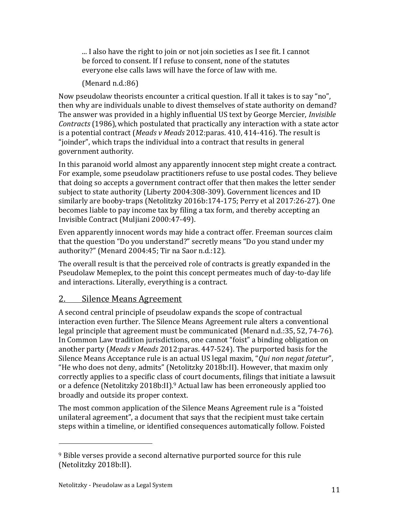... I also have the right to join or not join societies as I see fit. I cannot be forced to consent. If I refuse to consent, none of the statutes everyone else calls laws will have the force of law with me.

(Menard n.d.:86)

Now pseudolaw theorists encounter a critical question. If all it takes is to say "no", then why are individuals unable to divest themselves of state authority on demand? The answer was provided in a highly influential US text by George Mercier, *Invisible Contracts* (1986),which postulated that practically any interaction with a state actor is a potential contract (*Meads v Meads* 2012:paras. 410, 414-416). The result is "joinder", which traps the individual into a contract that results in general government authority.

In this paranoid world almost any apparently innocent step might create a contract. For example, some pseudolaw practitioners refuse to use postal codes. They believe that doing so accepts a government contract offer that then makes the letter sender subject to state authority (Liberty 2004:308-309). Government licences and ID similarly are booby-traps (Netolitzky 2016b:174-175; Perry et al 2017:26-27). One becomes liable to pay income tax by filing a tax form, and thereby accepting an Invisible Contract (Muljiani 2000:47-49).

Even apparently innocent words may hide a contract offer. Freeman sources claim that the question "Do you understand?" secretly means "Do you stand under my authority?" (Menard 2004:45; Tir na Saor n.d.:12).

The overall result is that the perceived role of contracts is greatly expanded in the Pseudolaw Memeplex, to the point this concept permeates much of day-to-day life and interactions. Literally, everything is a contract.

#### 2. Silence Means Agreement

A second central principle of pseudolaw expands the scope of contractual interaction even further. The Silence Means Agreement rule alters a conventional legal principle that agreement must be communicated (Menard n.d.:35, 52, 74-76). In Common Law tradition jurisdictions, one cannot "foist" a binding obligation on another party (*Meads v Meads* 2012:paras. 447-524). The purported basis for the Silence Means Acceptance rule is an actual US legal maxim, "*Qui non negat fatetur*", "He who does not deny, admits" (Netolitzky 2018b:II). However, that maxim only correctly applies to a specific class of court documents, filings that initiate a lawsuit or a defence (Netolitzky 2018b:II).<sup>9</sup> Actual law has been erroneously applied too broadly and outside its proper context.

The most common application of the Silence Means Agreement rule is a "foisted unilateral agreement", a document that says that the recipient must take certain steps within a timeline, or identified consequences automatically follow. Foisted

<sup>&</sup>lt;sup>9</sup> Bible verses provide a second alternative purported source for this rule (Netolitzky 2018b:II).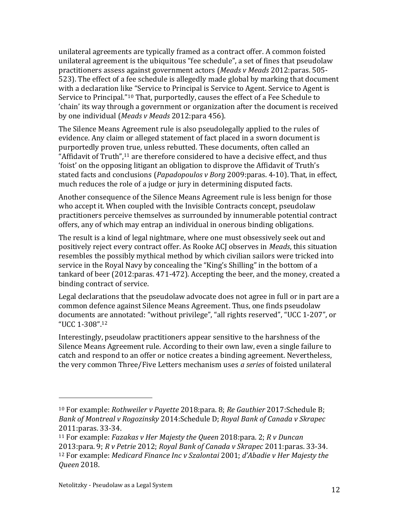unilateral agreements are typically framed as a contract offer. A common foisted unilateral agreement is the ubiquitous "fee schedule", a set of fines that pseudolaw practitioners assess against government actors (*Meads v Meads* 2012:paras. 505- 523). The effect of a fee schedule is allegedly made global by marking that document with a declaration like "Service to Principal is Service to Agent. Service to Agent is Service to Principal."<sup>10</sup> That, purportedly, causes the effect of a Fee Schedule to 'chain' its way through a government or organization after the document is received by one individual (*Meads v Meads* 2012:para 456).

The Silence Means Agreement rule is also pseudolegally applied to the rules of evidence. Any claim or alleged statement of fact placed in a sworn document is purportedly proven true, unless rebutted. These documents, often called an "Affidavit of Truth",<sup>11</sup> are therefore considered to have a decisive effect, and thus 'foist' on the opposing litigant an obligation to disprove the Affidavit of Truth's stated facts and conclusions (*Papadopoulos v Borg* 2009:paras. 4-10). That, in effect, much reduces the role of a judge or jury in determining disputed facts.

Another consequence of the Silence Means Agreement rule is less benign for those who accept it. When coupled with the Invisible Contracts concept, pseudolaw practitioners perceive themselves as surrounded by innumerable potential contract offers, any of which may entrap an individual in onerous binding obligations.

The result is a kind of legal nightmare, where one must obsessively seek out and positively reject every contract offer. As Rooke ACJ observes in *Meads*, this situation resembles the possibly mythical method by which civilian sailors were tricked into service in the Royal Navy by concealing the "King's Shilling" in the bottom of a tankard of beer (2012:paras. 471-472). Accepting the beer, and the money, created a binding contract of service.

Legal declarations that the pseudolaw advocate does not agree in full or in part are a common defence against Silence Means Agreement. Thus, one finds pseudolaw documents are annotated: "without privilege", "all rights reserved", "UCC 1-207", or "UCC 1-308".<sup>12</sup>

Interestingly, pseudolaw practitioners appear sensitive to the harshness of the Silence Means Agreement rule. According to their own law, even a single failure to catch and respond to an offer or notice creates a binding agreement. Nevertheless, the very common Three/Five Letters mechanism uses *a series* of foisted unilateral

<sup>10</sup> For example: *Rothweiler v Payette* 2018:para. 8; *Re Gauthier* 2017:Schedule B; *Bank of Montreal v Rogozinsky* 2014:Schedule D; *Royal Bank of Canada v Skrapec* 2011:paras. 33-34.

<sup>11</sup> For example: *Fazakas v Her Majesty the Queen* 2018:para. 2; *R v Duncan* 2013:para. 9; *R v Petrie* 2012; *Royal Bank of Canada v Skrapec* 2011:paras. 33-34. <sup>12</sup> For example: *Medicard Finance Inc v Szalontai* 2001; *d'Abadie v Her Majesty the Queen* 2018.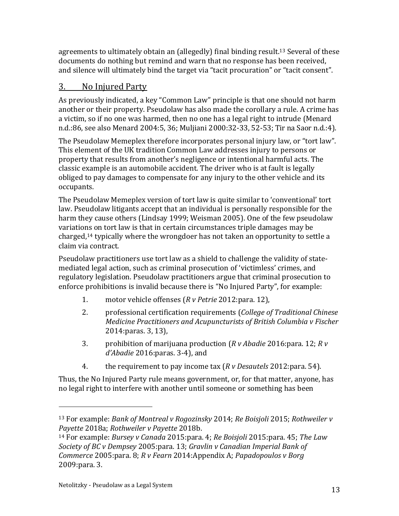agreements to ultimately obtain an (allegedly) final binding result.<sup>13</sup> Several of these documents do nothing but remind and warn that no response has been received, and silence will ultimately bind the target via "tacit procuration" or "tacit consent".

#### 3. No Injured Party

As previously indicated, a key "Common Law" principle is that one should not harm another or their property. Pseudolaw has also made the corollary a rule. A crime has a victim, so if no one was harmed, then no one has a legal right to intrude (Menard n.d.:86, see also Menard 2004:5, 36; Muljiani 2000:32-33, 52-53; Tir na Saor n.d.:4).

The Pseudolaw Memeplex therefore incorporates personal injury law, or "tort law". This element of the UK tradition Common Law addresses injury to persons or property that results from another's negligence or intentional harmful acts. The classic example is an automobile accident. The driver who is at fault is legally obliged to pay damages to compensate for any injury to the other vehicle and its occupants.

The Pseudolaw Memeplex version of tort law is quite similar to 'conventional' tort law. Pseudolaw litigants accept that an individual is personally responsible for the harm they cause others (Lindsay 1999; Weisman 2005). One of the few pseudolaw variations on tort law is that in certain circumstances triple damages may be charged,<sup>14</sup> typically where the wrongdoer has not taken an opportunity to settle a claim via contract.

Pseudolaw practitioners use tort law as a shield to challenge the validity of statemediated legal action, such as criminal prosecution of 'victimless' crimes, and regulatory legislation. Pseudolaw practitioners argue that criminal prosecution to enforce prohibitions is invalid because there is "No Injured Party", for example:

- 1. motor vehicle offenses (*R v Petrie* 2012:para. 12),
- 2. professional certification requirements (*College of Traditional Chinese Medicine Practitioners and Acupuncturists of British Columbia v Fischer* 2014:paras. 3, 13),
- 3. prohibition of marijuana production (*R v Abadie* 2016:para. 12; *R v d'Abadie* 2016:paras. 3-4), and
- 4. the requirement to pay income tax (*R v Desautels* 2012:para. 54).

Thus, the No Injured Party rule means government, or, for that matter, anyone, has no legal right to interfere with another until someone or something has been

<sup>13</sup> For example: *Bank of Montreal v Rogozinsky* 2014; *Re Boisjoli* 2015; *Rothweiler v Payette* 2018a; *Rothweiler v Payette* 2018b.

<sup>14</sup> For example: *Bursey v Canada* 2015:para. 4; *Re Boisjoli* 2015:para. 45; *The Law Society of BC v Dempsey* 2005:para. 13; *Gravlin v Canadian Imperial Bank of Commerce* 2005:para. 8; *R v Fearn* 2014:Appendix A; *Papadopoulos v Borg* 2009:para. 3.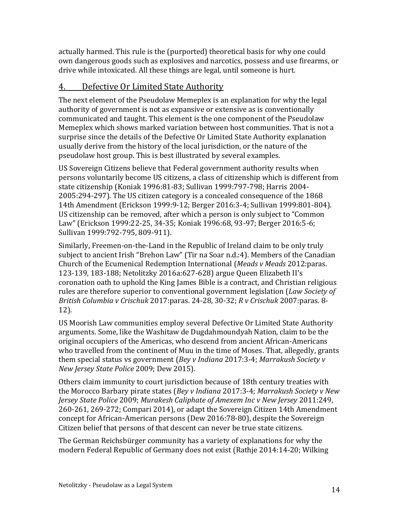actually harmed. This rule is the (purported) theoretical basis for why one could own dangerous goods such as explosives and narcotics, possess and use firearms, or drive while intoxicated. All these things are legal, until someone is hurt.

#### 4. Defective Or Limited State Authority

The next element of the Pseudolaw Memeplex is an explanation for why the legal authority of government is not as expansive or extensive as is conventionally communicated and taught. This element is the one component of the Pseudolaw Memeplex which shows marked variation between host communities. That is not a surprise since the details of the Defective Or Limited State Authority explanation usually derive from the history of the local jurisdiction, or the nature of the pseudolaw host group. This is best illustrated by several examples.

US Sovereign Citizens believe that Federal government authority results when persons voluntarily become US citizens, a class of citizenship which is different from state citizenship (Koniak 1996:81-83; Sullivan 1999:797-798; Harris 2004- 2005:294-297). The US citizen category is a concealed consequence of the 1868 14th Amendment (Erickson 1999:9-12; Berger 2016:3-4; Sullivan 1999:801-804). US citizenship can be removed, after which a person is only subject to "Common Law" (Erickson 1999:22-25, 34-35; Koniak 1996:68, 93-97; Berger 2016:5-6; Sullivan 1999:792-795, 809-911).

Similarly, Freemen-on-the-Land in the Republic of Ireland claim to be only truly subject to ancient Irish "Brehon Law" (Tir na Soar n.d.:4). Members of the Canadian Church of the Ecumenical Redemption International (*Meads v Meads* 2012:paras. 123-139, 183-188; Netolitzky 2016a:627-628) argue Queen Elizabeth II's coronation oath to uphold the King James Bible is a contract, and Christian religious rules are therefore superior to conventional government legislation (*Law Society of British Columbia v Crischuk* 2017:paras. 24-28, 30-32; *R v Crischuk* 2007:paras. 8- 12).

US Moorish Law communities employ several Defective Or Limited State Authority arguments. Some, like the Washitaw de Dugdahmoundyah Nation, claim to be the original occupiers of the Americas, who descend from ancient African-Americans who travelled from the continent of Muu in the time of Moses. That, allegedly, grants them special status vs government (*Bey v Indiana* 2017:3-4; *Marrakush Society v New Jersey State Police* 2009; Dew 2015).

Others claim immunity to court jurisdiction because of 18th century treaties with the Morocco Barbary pirate states (*Bey v Indiana* 2017:3-4; *Marrakush Society v New Jersey State Police* 2009; *Murakesh Caliphate of Amexem Inc v New Jersey* 2011:249, 260-261, 269-272; Compari 2014), or adapt the Sovereign Citizen 14th Amendment concept for African-American persons (Dew 2016:78-80), despite the Sovereign Citizen belief that persons of that descent can never be true state citizens.

The German Reichsbürger community has a variety of explanations for why the modern Federal Republic of Germany does not exist (Rathje 2014:14-20; Wilking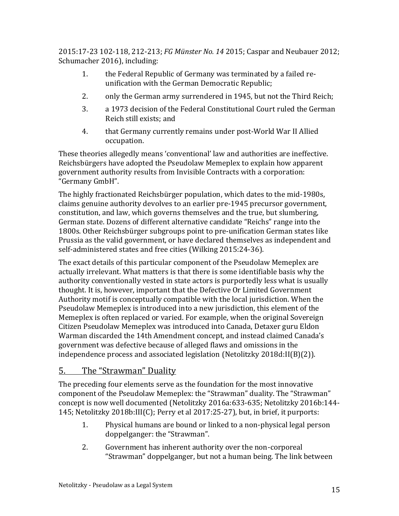2015:17-23 102-118, 212-213; *FG Münster No. 14* 2015; Caspar and Neubauer 2012; Schumacher 2016), including:

- 1. the Federal Republic of Germany was terminated by a failed reunification with the German Democratic Republic;
- 2. only the German army surrendered in 1945, but not the Third Reich;
- 3. a 1973 decision of the Federal Constitutional Court ruled the German Reich still exists; and
- 4. that Germany currently remains under post-World War II Allied occupation.

These theories allegedly means 'conventional' law and authorities are ineffective. Reichsbürgers have adopted the Pseudolaw Memeplex to explain how apparent government authority results from Invisible Contracts with a corporation: "Germany GmbH".

The highly fractionated Reichsbürger population, which dates to the mid-1980s, claims genuine authority devolves to an earlier pre-1945 precursor government, constitution, and law, which governs themselves and the true, but slumbering, German state. Dozens of different alternative candidate "Reichs" range into the 1800s. Other Reichsbürger subgroups point to pre-unification German states like Prussia as the valid government, or have declared themselves as independent and self-administered states and free cities (Wilking 2015:24-36).

The exact details of this particular component of the Pseudolaw Memeplex are actually irrelevant. What matters is that there is some identifiable basis why the authority conventionally vested in state actors is purportedly less what is usually thought. It is, however, important that the Defective Or Limited Government Authority motif is conceptually compatible with the local jurisdiction. When the Pseudolaw Memeplex is introduced into a new jurisdiction, this element of the Memeplex is often replaced or varied. For example, when the original Sovereign Citizen Pseudolaw Memeplex was introduced into Canada, Detaxer guru Eldon Warman discarded the 14th Amendment concept, and instead claimed Canada's government was defective because of alleged flaws and omissions in the independence process and associated legislation (Netolitzky 2018d:II(B)(2)).

#### 5. The "Strawman" Duality

The preceding four elements serve as the foundation for the most innovative component of the Pseudolaw Memeplex: the "Strawman" duality. The "Strawman" concept is now well documented (Netolitzky 2016a:633-635; Netolitzky 2016b:144- 145; Netolitzky 2018b:III(C); Perry et al 2017:25-27), but, in brief, it purports:

- 1. Physical humans are bound or linked to a non-physical legal person doppelganger: the "Strawman".
- 2. Government has inherent authority over the non-corporeal "Strawman" doppelganger, but not a human being. The link between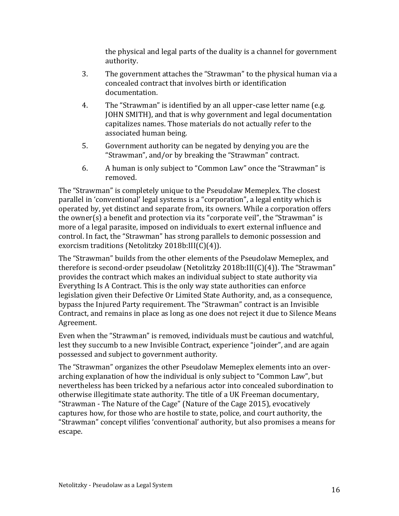the physical and legal parts of the duality is a channel for government authority.

- 3. The government attaches the "Strawman" to the physical human via a concealed contract that involves birth or identification documentation.
- 4. The "Strawman" is identified by an all upper-case letter name (e.g. JOHN SMITH), and that is why government and legal documentation capitalizes names. Those materials do not actually refer to the associated human being.
- 5. Government authority can be negated by denying you are the "Strawman", and/or by breaking the "Strawman" contract.
- 6. A human is only subject to "Common Law" once the "Strawman" is removed.

The "Strawman" is completely unique to the Pseudolaw Memeplex. The closest parallel in 'conventional' legal systems is a "corporation", a legal entity which is operated by, yet distinct and separate from, its owners. While a corporation offers the owner(s) a benefit and protection via its "corporate veil", the "Strawman" is more of a legal parasite, imposed on individuals to exert external influence and control. In fact, the "Strawman" has strong parallels to demonic possession and exorcism traditions (Netolitzky 2018b:III(C)(4)).

The "Strawman" builds from the other elements of the Pseudolaw Memeplex, and therefore is second-order pseudolaw (Netolitzky 2018b:III(C)(4)). The "Strawman" provides the contract which makes an individual subject to state authority via Everything Is A Contract. This is the only way state authorities can enforce legislation given their Defective Or Limited State Authority, and, as a consequence, bypass the Injured Party requirement. The "Strawman" contract is an Invisible Contract, and remains in place as long as one does not reject it due to Silence Means Agreement.

Even when the "Strawman" is removed, individuals must be cautious and watchful, lest they succumb to a new Invisible Contract, experience "joinder", and are again possessed and subject to government authority.

The "Strawman" organizes the other Pseudolaw Memeplex elements into an overarching explanation of how the individual is only subject to "Common Law", but nevertheless has been tricked by a nefarious actor into concealed subordination to otherwise illegitimate state authority. The title of a UK Freeman documentary, "Strawman - The Nature of the Cage" (Nature of the Cage 2015), evocatively captures how, for those who are hostile to state, police, and court authority, the "Strawman" concept vilifies 'conventional' authority, but also promises a means for escape.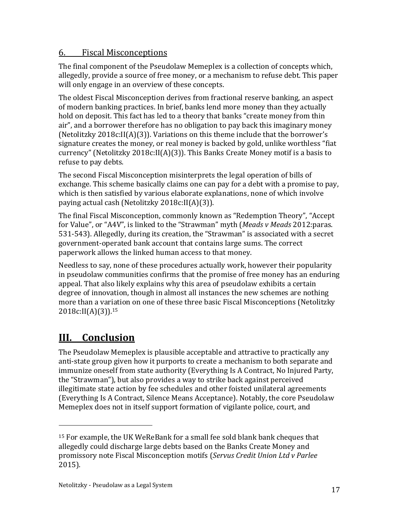#### 6. Fiscal Misconceptions

The final component of the Pseudolaw Memeplex is a collection of concepts which, allegedly, provide a source of free money, or a mechanism to refuse debt. This paper will only engage in an overview of these concepts.

The oldest Fiscal Misconception derives from fractional reserve banking, an aspect of modern banking practices. In brief, banks lend more money than they actually hold on deposit. This fact has led to a theory that banks "create money from thin air", and a borrower therefore has no obligation to pay back this imaginary money (Netolitzky 2018c:II(A)(3)). Variations on this theme include that the borrower's signature creates the money, or real money is backed by gold, unlike worthless "fiat currency" (Netolitzky 2018c:II(A)(3)). This Banks Create Money motif is a basis to refuse to pay debts.

The second Fiscal Misconception misinterprets the legal operation of bills of exchange. This scheme basically claims one can pay for a debt with a promise to pay, which is then satisfied by various elaborate explanations, none of which involve paying actual cash (Netolitzky 2018c:II(A)(3)).

The final Fiscal Misconception, commonly known as "Redemption Theory", "Accept for Value", or "A4V", is linked to the "Strawman" myth (*Meads v Meads* 2012:paras. 531-543). Allegedly, during its creation, the "Strawman" is associated with a secret government-operated bank account that contains large sums. The correct paperwork allows the linked human access to that money.

Needless to say, none of these procedures actually work, however their popularity in pseudolaw communities confirms that the promise of free money has an enduring appeal. That also likely explains why this area of pseudolaw exhibits a certain degree of innovation, though in almost all instances the new schemes are nothing more than a variation on one of these three basic Fiscal Misconceptions (Netolitzky 2018c:II(A)(3)).<sup>15</sup>

## **III. Conclusion**

l

The Pseudolaw Memeplex is plausible acceptable and attractive to practically any anti-state group given how it purports to create a mechanism to both separate and immunize oneself from state authority (Everything Is A Contract, No Injured Party, the "Strawman"), but also provides a way to strike back against perceived illegitimate state action by fee schedules and other foisted unilateral agreements (Everything Is A Contract, Silence Means Acceptance). Notably, the core Pseudolaw Memeplex does not in itself support formation of vigilante police, court, and

<sup>15</sup> For example, the UK WeReBank for a small fee sold blank bank cheques that allegedly could discharge large debts based on the Banks Create Money and promissory note Fiscal Misconception motifs (*Servus Credit Union Ltd v Parlee* 2015).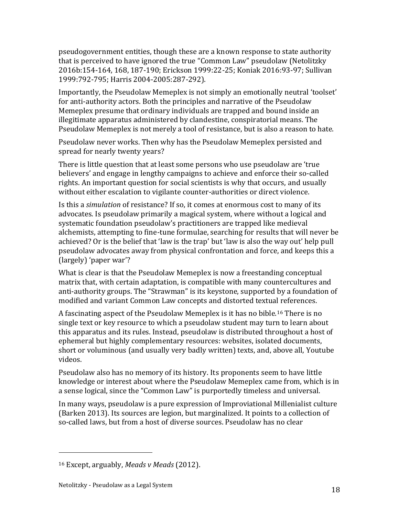pseudogovernment entities, though these are a known response to state authority that is perceived to have ignored the true "Common Law" pseudolaw (Netolitzky 2016b:154-164, 168, 187-190; Erickson 1999:22-25; Koniak 2016:93-97; Sullivan 1999:792-795; Harris 2004-2005:287-292).

Importantly, the Pseudolaw Memeplex is not simply an emotionally neutral 'toolset' for anti-authority actors. Both the principles and narrative of the Pseudolaw Memeplex presume that ordinary individuals are trapped and bound inside an illegitimate apparatus administered by clandestine, conspiratorial means. The Pseudolaw Memeplex is not merely a tool of resistance, but is also a reason to hate.

Pseudolaw never works. Then why has the Pseudolaw Memeplex persisted and spread for nearly twenty years?

There is little question that at least some persons who use pseudolaw are 'true believers' and engage in lengthy campaigns to achieve and enforce their so-called rights. An important question for social scientists is why that occurs, and usually without either escalation to vigilante counter-authorities or direct violence.

Is this a *simulation* of resistance? If so, it comes at enormous cost to many of its advocates. Is pseudolaw primarily a magical system, where without a logical and systematic foundation pseudolaw's practitioners are trapped like medieval alchemists, attempting to fine-tune formulae, searching for results that will never be achieved? Or is the belief that 'law is the trap' but 'law is also the way out' help pull pseudolaw advocates away from physical confrontation and force, and keeps this a (largely) 'paper war'?

What is clear is that the Pseudolaw Memeplex is now a freestanding conceptual matrix that, with certain adaptation, is compatible with many countercultures and anti-authority groups. The "Strawman" is its keystone, supported by a foundation of modified and variant Common Law concepts and distorted textual references.

A fascinating aspect of the Pseudolaw Memeplex is it has no bible.<sup>16</sup> There is no single text or key resource to which a pseudolaw student may turn to learn about this apparatus and its rules. Instead, pseudolaw is distributed throughout a host of ephemeral but highly complementary resources: websites, isolated documents, short or voluminous (and usually very badly written) texts, and, above all, Youtube videos.

Pseudolaw also has no memory of its history. Its proponents seem to have little knowledge or interest about where the Pseudolaw Memeplex came from, which is in a sense logical, since the "Common Law" is purportedly timeless and universal.

In many ways, pseudolaw is a pure expression of Improviational Millenialist culture (Barken 2013). Its sources are legion, but marginalized. It points to a collection of so-called laws, but from a host of diverse sources. Pseudolaw has no clear

l

<sup>16</sup> Except, arguably, *Meads v Meads* (2012).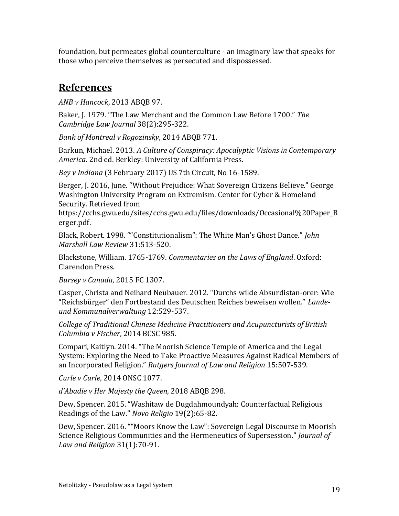foundation, but permeates global counterculture - an imaginary law that speaks for those who perceive themselves as persecuted and dispossessed.

### **References**

*ANB v Hancock*, 2013 ABQB 97.

Baker, J. 1979. "The Law Merchant and the Common Law Before 1700." *The Cambridge Law Journal* 38(2):295-322.

*Bank of Montreal v Rogozinsky*, 2014 ABQB 771.

Barkun, Michael. 2013. *A Culture of Conspiracy: Apocalyptic Visions in Contemporary America*. 2nd ed. Berkley: University of California Press.

*Bey v Indiana* (3 February 2017) US 7th Circuit, No 16-1589.

Berger, J. 2016, June. "Without Prejudice: What Sovereign Citizens Believe." George Washington University Program on Extremism. Center for Cyber & Homeland Security. Retrieved from

https://cchs.gwu.edu/sites/cchs.gwu.edu/files/downloads/Occasional%20Paper\_B erger.pdf.

Black, Robert. 1998. ""Constitutionalism": The White Man's Ghost Dance." *John Marshall Law Review* 31:513-520.

Blackstone, William. 1765-1769. *Commentaries on the Laws of England*. Oxford: Clarendon Press.

*Bursey v Canada*, 2015 FC 1307.

Casper, Christa and Neihard Neubauer. 2012. "Durchs wilde Absurdistan-orer: Wie "Reichsbürger" den Fortbestand des Deutschen Reiches beweisen wollen." *Landeund Kommunalverwaltung* 12:529-537.

*College of Traditional Chinese Medicine Practitioners and Acupuncturists of British Columbia v Fischer*, 2014 BCSC 985.

Compari, Kaitlyn. 2014. "The Moorish Science Temple of America and the Legal System: Exploring the Need to Take Proactive Measures Against Radical Members of an Incorporated Religion." *Rutgers Journal of Law and Religion* 15:507-539.

*Curle v Curle*, 2014 ONSC 1077.

*d'Abadie v Her Majesty the Queen*, 2018 ABQB 298.

Dew, Spencer. 2015. "Washitaw de Dugdahmoundyah: Counterfactual Religious Readings of the Law." *Novo Religio* 19(2):65-82.

Dew, Spencer. 2016. ""Moors Know the Law": Sovereign Legal Discourse in Moorish Science Religious Communities and the Hermeneutics of Supersession." *Journal of Law and Religion* 31(1):70-91.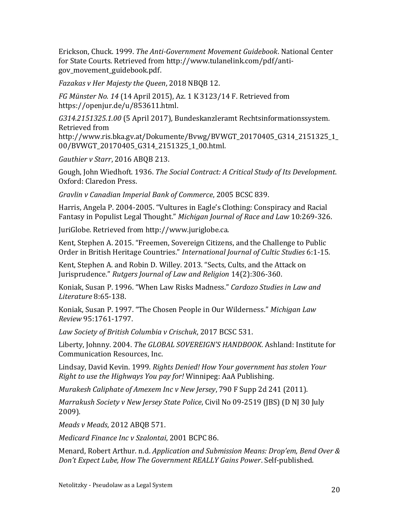Erickson, Chuck. 1999. *The Anti-Government Movement Guidebook*. National Center for State Courts. Retrieved from http://www.tulanelink.com/pdf/antigov\_movement\_guidebook.pdf.

*Fazakas v Her Majesty the Queen*, 2018 NBQB 12.

*FG Münster No. 14* (14 April 2015), Az. 1 K 3123/14 F. Retrieved from https://openjur.de/u/853611.html.

*G314.2151325.1.00* (5 April 2017), Bundeskanzleramt Rechtsinformationssystem. Retrieved from

http://www.ris.bka.gv.at/Dokumente/Bvwg/BVWGT\_20170405\_G314\_2151325\_1\_ 00/BVWGT\_20170405\_G314\_2151325\_1\_00.html.

*Gauthier v Starr*, 2016 ABQB 213.

Gough, John Wiedhoft. 1936. *The Social Contract: A Critical Study of Its Development*. Oxford: Claredon Press.

*Gravlin v Canadian Imperial Bank of Commerce*, 2005 BCSC 839.

Harris, Angela P. 2004-2005. "Vultures in Eagle's Clothing: Conspiracy and Racial Fantasy in Populist Legal Thought." *Michigan Journal of Race and Law* 10:269-326.

JuriGlobe. Retrieved from http://www.juriglobe.ca.

Kent, Stephen A. 2015. "Freemen, Sovereign Citizens, and the Challenge to Public Order in British Heritage Countries." *International Journal of Cultic Studies* 6:1-15.

Kent, Stephen A. and Robin D. Willey. 2013. "Sects, Cults, and the Attack on Jurisprudence." *Rutgers Journal of Law and Religion* 14(2):306-360.

Koniak, Susan P. 1996. "When Law Risks Madness." *Cardozo Studies in Law and Literature* 8:65-138.

Koniak, Susan P. 1997. "The Chosen People in Our Wilderness." *Michigan Law Review* 95:1761-1797.

*Law Society of British Columbia v Crischuk*, 2017 BCSC 531.

Liberty, Johnny. 2004. *The GLOBAL SOVEREIGN'S HANDBOOK*. Ashland: Institute for Communication Resources, Inc.

Lindsay, David Kevin. 1999. *Rights Denied! How Your government has stolen Your Right to use the Highways You pay for!* Winnipeg: AaA Publishing.

*Murakesh Caliphate of Amexem Inc v New Jersey*, 790 F Supp 2d 241 (2011).

*Marrakush Society v New Jersey State Police*, Civil No 09-2519 (JBS) (D NJ 30 July 2009).

*Meads v Meads*, 2012 ABQB 571.

*Medicard Finance Inc v Szalontai*, 2001 BCPC 86.

Menard, Robert Arthur. n.d. *Application and Submission Means: Drop'em, Bend Over & Don't Expect Lube, How The Government REALLY Gains Power*. Self-published.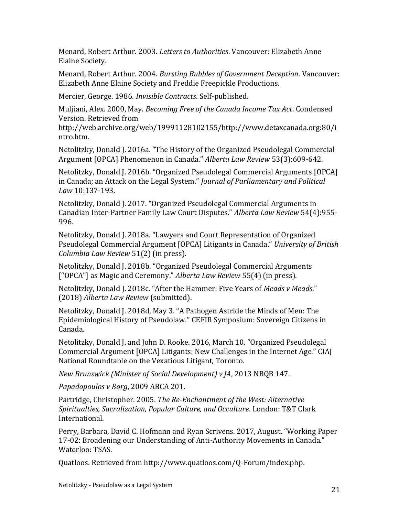Menard, Robert Arthur. 2003. *Letters to Authorities*. Vancouver: Elizabeth Anne Elaine Society.

Menard, Robert Arthur. 2004. *Bursting Bubbles of Government Deception*. Vancouver: Elizabeth Anne Elaine Society and Freddie Freepickle Productions.

Mercier, George. 1986. *Invisible Contracts*. Self-published.

Muljiani, Alex. 2000, May. *Becoming Free of the Canada Income Tax Act*. Condensed Version. Retrieved from

http://web.archive.org/web/19991128102155/http://www.detaxcanada.org:80/i ntro.htm.

Netolitzky, Donald J. 2016a. "The History of the Organized Pseudolegal Commercial Argument [OPCA] Phenomenon in Canada." *Alberta Law Review* 53(3):609-642.

Netolitzky, Donald J. 2016b. "Organized Pseudolegal Commercial Arguments [OPCA] in Canada; an Attack on the Legal System." *Journal of Parliamentary and Political Law* 10:137-193.

Netolitzky, Donald J. 2017. "Organized Pseudolegal Commercial Arguments in Canadian Inter-Partner Family Law Court Disputes." *Alberta Law Review* 54(4):955- 996.

Netolitzky, Donald J. 2018a. "Lawyers and Court Representation of Organized Pseudolegal Commercial Argument [OPCA] Litigants in Canada." *University of British Columbia Law Review* 51(2) (in press).

Netolitzky, Donald J. 2018b. "Organized Pseudolegal Commercial Arguments ["OPCA"] as Magic and Ceremony." *Alberta Law Review* 55(4) (in press).

Netolitzky, Donald J. 2018c. "After the Hammer: Five Years of *Meads v Meads*." (2018) *Alberta Law Review* (submitted).

Netolitzky, Donald J. 2018d, May 3. "A Pathogen Astride the Minds of Men: The Epidemiological History of Pseudolaw." CEFIR Symposium: Sovereign Citizens in Canada.

Netolitzky, Donald J. and John D. Rooke. 2016, March 10. "Organized Pseudolegal Commercial Argument [OPCA] Litigants: New Challenges in the Internet Age." CIAJ National Roundtable on the Vexatious Litigant, Toronto.

*New Brunswick (Minister of Social Development) v JA*, 2013 NBQB 147.

*Papadopoulos v Borg*, 2009 ABCA 201.

Partridge, Christopher. 2005. *The Re-Enchantment of the West: Alternative Spiritualties, Sacralization, Popular Culture, and Occulture*. London: T&T Clark International.

Perry, Barbara, David C. Hofmann and Ryan Scrivens. 2017, August. "Working Paper 17-02: Broadening our Understanding of Anti-Authority Movements in Canada." Waterloo: TSAS.

Quatloos. Retrieved from http://www.quatloos.com/Q-Forum/index.php.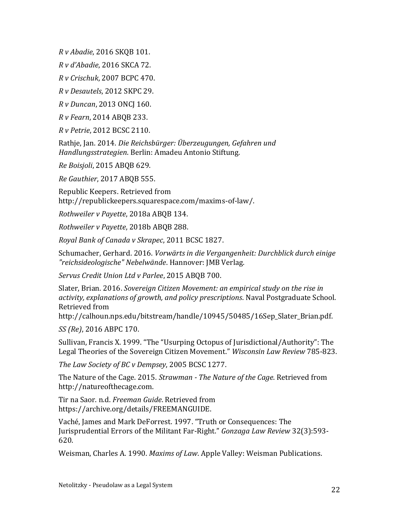*R v Abadie*, 2016 SKQB 101.

*R v d'Abadie*, 2016 SKCA 72.

*R v Crischuk*, 2007 BCPC 470.

*R v Desautels*, 2012 SKPC 29.

*R v Duncan*, 2013 ONCJ 160.

*R v Fearn*, 2014 ABQB 233.

*R v Petrie*, 2012 BCSC 2110.

Rathje, Jan. 2014. *Die Reichsbürger: Überzeugungen, Gefahren und Handlungsstrategien*. Berlin: Amadeu Antonio Stiftung.

*Re Boisjoli*, 2015 ABQB 629.

*Re Gauthier*, 2017 ABQB 555.

Republic Keepers. Retrieved from http://republickeepers.squarespace.com/maxims-of-law/.

*Rothweiler v Payette*, 2018a ABQB 134.

*Rothweiler v Payette*, 2018b ABQB 288.

*Royal Bank of Canada v Skrapec*, 2011 BCSC 1827.

Schumacher, Gerhard. 2016. *Vorwärts in die Vergangenheit: Durchblick durch einige "reichsideologische" Nebelwände*. Hannover: JMB Verlag.

*Servus Credit Union Ltd v Parlee*, 2015 ABQB 700.

Slater, Brian. 2016. *Sovereign Citizen Movement: an empirical study on the rise in activity, explanations of growth, and policy prescriptions*. Naval Postgraduate School. Retrieved from

http://calhoun.nps.edu/bitstream/handle/10945/50485/16Sep\_Slater\_Brian.pdf.

*SS (Re)*, 2016 ABPC 170.

Sullivan, Francis X. 1999. "The "Usurping Octopus of Jurisdictional/Authority": The Legal Theories of the Sovereign Citizen Movement." *Wisconsin Law Review* 785-823.

*The Law Society of BC v Dempsey*, 2005 BCSC 1277.

The Nature of the Cage. 2015. *Strawman - The Nature of the Cage*. Retrieved from http://natureofthecage.com.

Tir na Saor. n.d. *Freeman Guide*. Retrieved from https://archive.org/details/FREEMANGUIDE.

Vaché, James and Mark DeForrest. 1997. "Truth or Consequences: The Jurisprudential Errors of the Militant Far-Right." *Gonzaga Law Review* 32(3):593- 620.

Weisman, Charles A. 1990. *Maxims of Law*. Apple Valley: Weisman Publications.